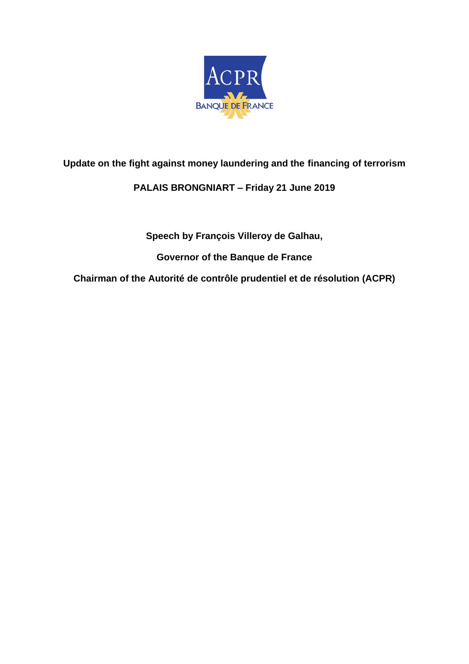

## **Update on the fight against money laundering and the financing of terrorism**

## **PALAIS BRONGNIART – Friday 21 June 2019**

**Speech by François Villeroy de Galhau,** 

**Governor of the Banque de France** 

**Chairman of the Autorité de contrôle prudentiel et de résolution (ACPR)**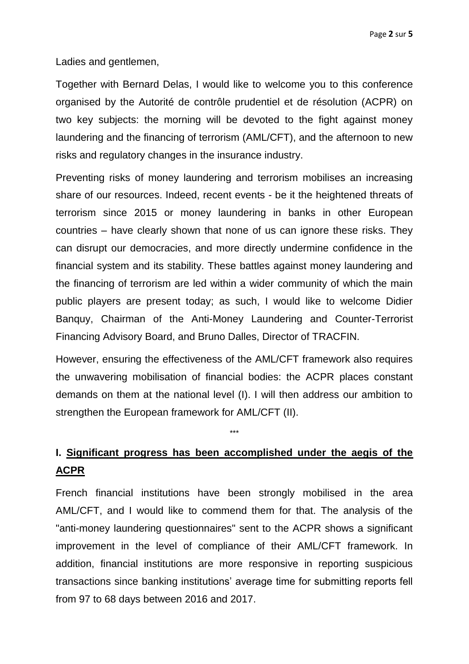Ladies and gentlemen,

Together with Bernard Delas, I would like to welcome you to this conference organised by the Autorité de contrôle prudentiel et de résolution (ACPR) on two key subjects: the morning will be devoted to the fight against money laundering and the financing of terrorism (AML/CFT), and the afternoon to new risks and regulatory changes in the insurance industry.

Preventing risks of money laundering and terrorism mobilises an increasing share of our resources. Indeed, recent events - be it the heightened threats of terrorism since 2015 or money laundering in banks in other European countries – have clearly shown that none of us can ignore these risks. They can disrupt our democracies, and more directly undermine confidence in the financial system and its stability. These battles against money laundering and the financing of terrorism are led within a wider community of which the main public players are present today; as such, I would like to welcome Didier Banquy, Chairman of the Anti-Money Laundering and Counter-Terrorist Financing Advisory Board, and Bruno Dalles, Director of TRACFIN.

However, ensuring the effectiveness of the AML/CFT framework also requires the unwavering mobilisation of financial bodies: the ACPR places constant demands on them at the national level (I). I will then address our ambition to strengthen the European framework for AML/CFT (II).

## **I. Significant progress has been accomplished under the aegis of the ACPR**

\*\*\*

French financial institutions have been strongly mobilised in the area AML/CFT, and I would like to commend them for that. The analysis of the "anti-money laundering questionnaires" sent to the ACPR shows a significant improvement in the level of compliance of their AML/CFT framework. In addition, financial institutions are more responsive in reporting suspicious transactions since banking institutions' average time for submitting reports fell from 97 to 68 days between 2016 and 2017.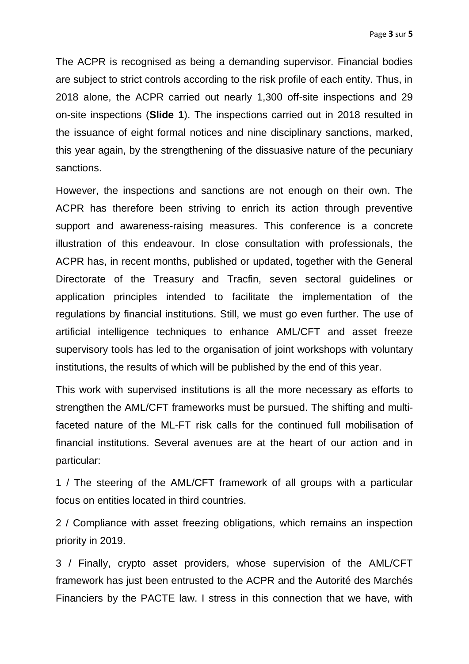The ACPR is recognised as being a demanding supervisor. Financial bodies are subject to strict controls according to the risk profile of each entity. Thus, in 2018 alone, the ACPR carried out nearly 1,300 off-site inspections and 29 on-site inspections (**Slide 1**). The inspections carried out in 2018 resulted in the issuance of eight formal notices and nine disciplinary sanctions, marked, this year again, by the strengthening of the dissuasive nature of the pecuniary sanctions.

However, the inspections and sanctions are not enough on their own. The ACPR has therefore been striving to enrich its action through preventive support and awareness-raising measures. This conference is a concrete illustration of this endeavour. In close consultation with professionals, the ACPR has, in recent months, published or updated, together with the General Directorate of the Treasury and Tracfin, seven sectoral guidelines or application principles intended to facilitate the implementation of the regulations by financial institutions. Still, we must go even further. The use of artificial intelligence techniques to enhance AML/CFT and asset freeze supervisory tools has led to the organisation of joint workshops with voluntary institutions, the results of which will be published by the end of this year.

This work with supervised institutions is all the more necessary as efforts to strengthen the AML/CFT frameworks must be pursued. The shifting and multifaceted nature of the ML-FT risk calls for the continued full mobilisation of financial institutions. Several avenues are at the heart of our action and in particular:

1 / The steering of the AML/CFT framework of all groups with a particular focus on entities located in third countries.

2 / Compliance with asset freezing obligations, which remains an inspection priority in 2019.

3 / Finally, crypto asset providers, whose supervision of the AML/CFT framework has just been entrusted to the ACPR and the Autorité des Marchés Financiers by the PACTE law. I stress in this connection that we have, with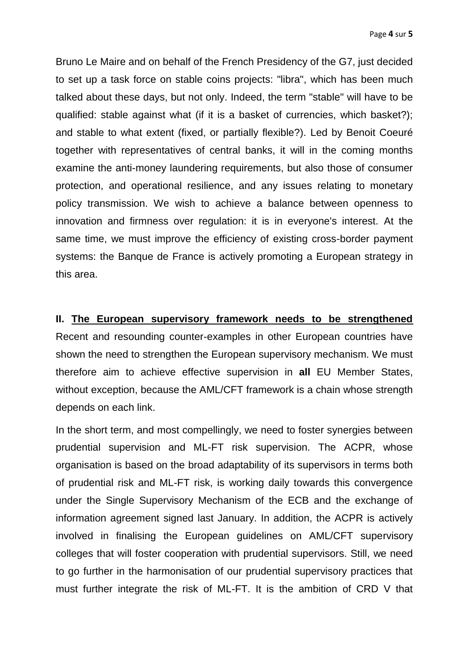Bruno Le Maire and on behalf of the French Presidency of the G7, just decided to set up a task force on stable coins projects: "libra", which has been much talked about these days, but not only. Indeed, the term "stable" will have to be qualified: stable against what (if it is a basket of currencies, which basket?); and stable to what extent (fixed, or partially flexible?). Led by Benoit Coeuré together with representatives of central banks, it will in the coming months examine the anti-money laundering requirements, but also those of consumer protection, and operational resilience, and any issues relating to monetary policy transmission. We wish to achieve a balance between openness to innovation and firmness over regulation: it is in everyone's interest. At the same time, we must improve the efficiency of existing cross-border payment systems: the Banque de France is actively promoting a European strategy in this area.

**II. The European supervisory framework needs to be strengthened** Recent and resounding counter-examples in other European countries have shown the need to strengthen the European supervisory mechanism. We must therefore aim to achieve effective supervision in **all** EU Member States, without exception, because the AML/CFT framework is a chain whose strength depends on each link.

In the short term, and most compellingly, we need to foster synergies between prudential supervision and ML-FT risk supervision. The ACPR, whose organisation is based on the broad adaptability of its supervisors in terms both of prudential risk and ML-FT risk, is working daily towards this convergence under the Single Supervisory Mechanism of the ECB and the exchange of information agreement signed last January. In addition, the ACPR is actively involved in finalising the European guidelines on AML/CFT supervisory colleges that will foster cooperation with prudential supervisors. Still, we need to go further in the harmonisation of our prudential supervisory practices that must further integrate the risk of ML-FT. It is the ambition of CRD V that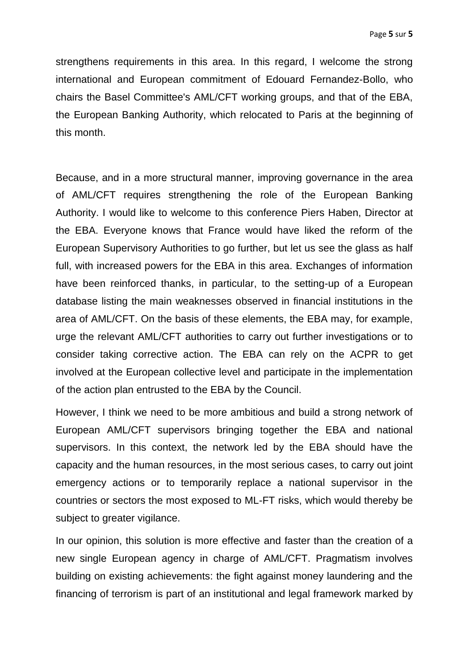strengthens requirements in this area. In this regard, I welcome the strong international and European commitment of Edouard Fernandez-Bollo, who chairs the Basel Committee's AML/CFT working groups, and that of the EBA, the European Banking Authority, which relocated to Paris at the beginning of this month.

Because, and in a more structural manner, improving governance in the area of AML/CFT requires strengthening the role of the European Banking Authority. I would like to welcome to this conference Piers Haben, Director at the EBA. Everyone knows that France would have liked the reform of the European Supervisory Authorities to go further, but let us see the glass as half full, with increased powers for the EBA in this area. Exchanges of information have been reinforced thanks, in particular, to the setting-up of a European database listing the main weaknesses observed in financial institutions in the area of AML/CFT. On the basis of these elements, the EBA may, for example, urge the relevant AML/CFT authorities to carry out further investigations or to consider taking corrective action. The EBA can rely on the ACPR to get involved at the European collective level and participate in the implementation of the action plan entrusted to the EBA by the Council.

However, I think we need to be more ambitious and build a strong network of European AML/CFT supervisors bringing together the EBA and national supervisors. In this context, the network led by the EBA should have the capacity and the human resources, in the most serious cases, to carry out joint emergency actions or to temporarily replace a national supervisor in the countries or sectors the most exposed to ML-FT risks, which would thereby be subject to greater vigilance.

In our opinion, this solution is more effective and faster than the creation of a new single European agency in charge of AML/CFT. Pragmatism involves building on existing achievements: the fight against money laundering and the financing of terrorism is part of an institutional and legal framework marked by